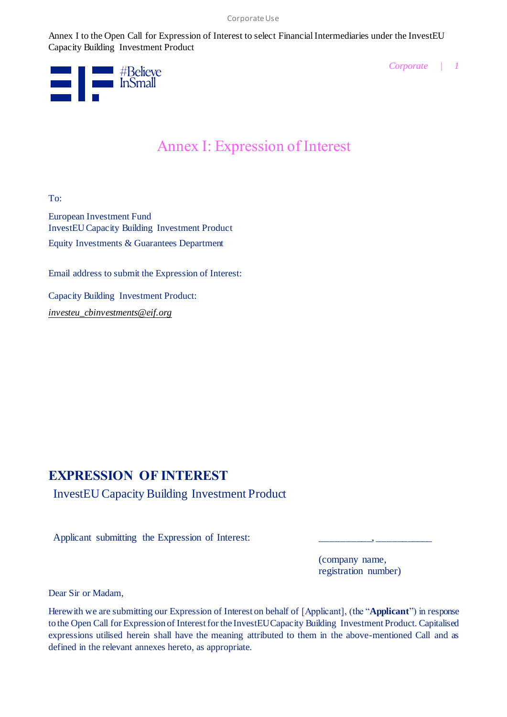

*Corporate | 1*

# Annex I: Expression of Interest

To:

European Investment Fund InvestEU Capacity Building Investment Product Equity Investments & Guarantees Department

Email address to submit the Expression of Interest:

Capacity Building Investment Product: *[investeu\\_cbinvestments@eif.org](mailto:investeu_cbinvestments@eif.org)*

# **EXPRESSION OF INTEREST**

InvestEU Capacity Building Investment Product

Applicant submitting the Expression of Interest:

(company name, registration number)

Dear Sir or Madam,

Herewith we are submitting our Expression of Interest on behalf of [Applicant], (the "**Applicant**") in response to the Open Call for Expression of Interest for the InvestEU Capacity Building Investment Product. Capitalised expressions utilised herein shall have the meaning attributed to them in the above-mentioned Call and as defined in the relevant annexes hereto, as appropriate.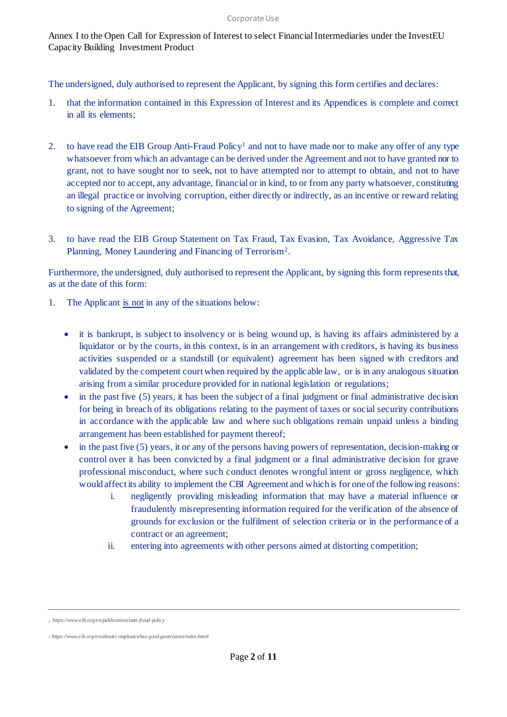The undersigned, duly authorised to represent the Applicant, by signing this form certifies and declares:

- 1. that the information contained in this Expression of Interest and its Appendices is complete and correct in all its elements;
- 2. to have read the EIB Group Anti-Fraud Policy<sup>1</sup> and not to have made nor to make any offer of any type whatsoever from which an advantage can be derived under the Agreement and not to have granted nor to grant, not to have sought nor to seek, not to have attempted nor to attempt to obtain, and not to have accepted nor to accept, any advantage, financial or in kind, to or from any party whatsoever, constituting an illegal practice or involving corruption, either directly or indirectly, as an incentive or reward relating to signing of the Agreement;
- 3. to have read the EIB Group Statement on Tax Fraud, Tax Evasion, Tax Avoidance, Aggressive Tax Planning, Money Laundering and Financing of Terrorism<sup>2</sup>.

Furthermore, the undersigned, duly authorised to represent the Applicant, by signing this form represents that, as at the date of this form:

- 1. The Applicant is not in any of the situations below:
	- it is bankrupt, is subject to insolvency or is being wound up, is having its affairs administered by a liquidator or by the courts, in this context, is in an arrangement with creditors, is having its business activities suspended or a standstill (or equivalent) agreement has been signed with creditors and validated by the competent court when required by the applicable law, or is in any analogous situation arising from a similar procedure provided for in national legislation or regulations;
	- $\bullet$  in the past five (5) years, it has been the subject of a final judgment or final administrative decision for being in breach of its obligations relating to the payment of taxes or social security contributions in accordance with the applicable law and where such obligations remain unpaid unless a binding arrangement has been established for payment thereof;
	- $\bullet$  in the past five (5) years, it or any of the persons having powers of representation, decision-making or control over it has been convicted by a final judgment or a final administrative decision for grave professional misconduct, where such conduct denotes wrongful intent or gross negligence, which would affect its ability to implement the CBI Agreement and which is for one of the following reasons:
		- i. negligently providing misleading information that may have a material influence or fraudulently misrepresenting information required for the verification of the absence of grounds for exclusion or the fulfilment of selection criteria or in the performance of a contract or an agreement;
		- ii. entering into agreements with other persons aimed at distorting competition;

*<sup>1</sup> <https://www.eib.org/en/publications/anti-fraud-policy>*

*<sup>2</sup> [https://www.eib.org/en/about/compliance/tax-good-governance/index.htm#](https://www.eib.org/en/about/compliance/tax-good-governance/index.htm)*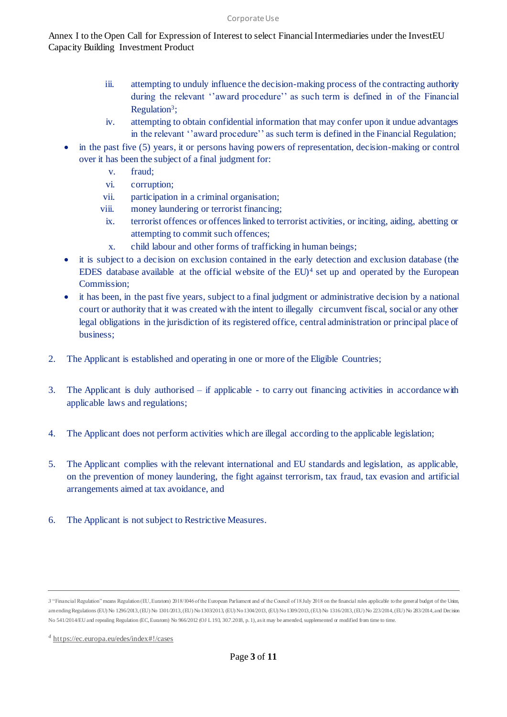#### Corporate Use

Annex I to the Open Call for Expression of Interest to select Financial Intermediaries under the InvestEU Capacity Building Investment Product

- iii. attempting to unduly influence the decision-making process of the contracting authority during the relevant ''award procedure'' as such term is defined in of the Financial Regulation<sup>3</sup>;
- iv. attempting to obtain confidential information that may confer upon it undue advantages in the relevant ''award procedure'' as such term is defined in the Financial Regulation;
- in the past five (5) years, it or persons having powers of representation, decision-making or control over it has been the subject of a final judgment for:
	- v. fraud;
	- vi. corruption;
	- vii. participation in a criminal organisation;
	- viii. money laundering or terrorist financing;
	- ix. terrorist offences or offences linked to terrorist activities, or inciting, aiding, abetting or attempting to commit such offences;
	- x. child labour and other forms of trafficking in human beings;
- it is subject to a decision on exclusion contained in the early detection and exclusion database (the EDES database available at the official website of the EU)<sup>4</sup> set up and operated by the European Commission;
- it has been, in the past five years, subject to a final judgment or administrative decision by a national court or authority that it was created with the intent to illegally circumvent fiscal, social or any other legal obligations in the jurisdiction of its registered office, central administration or principal place of business;
- 2. The Applicant is established and operating in one or more of the Eligible Countries;
- 3. The Applicant is duly authorised if applicable to carry out financing activities in accordance with applicable laws and regulations;
- 4. The Applicant does not perform activities which are illegal according to the applicable legislation;
- 5. The Applicant complies with the relevant international and EU standards and legislation, as applicable, on the prevention of money laundering, the fight against terrorism, tax fraud, tax evasion and artificial arrangements aimed at tax avoidance, and
- 6. The Applicant is not subject to Restrictive Measures.

*<sup>3</sup>* "Financial Regulation" means Regulation (EU, Euratom) 2018/1046 of the European Parliament and of the Council of 18 July 2018 on the financial rules applicable to the general budget of the Union, amending Regulations (EU) No 1296/2013, (EU) No 1301/2013, (EU) No 1303/2013, (EU) No 1304/2013, (EU) No 1309/2013, (EU) No 1316/2013, (EU) No 223/2014, (EU) No 283/2014, and Decision No 541/2014/EU and repealing Regulation (EC, Euratom) No 966/2012 (OJ L 193, 30.7.2018, p. 1), as it may be amended, supplemented  $\alpha$  modified from time to time.

*<sup>4</sup>* <https://ec.europa.eu/edes/index#!/cases>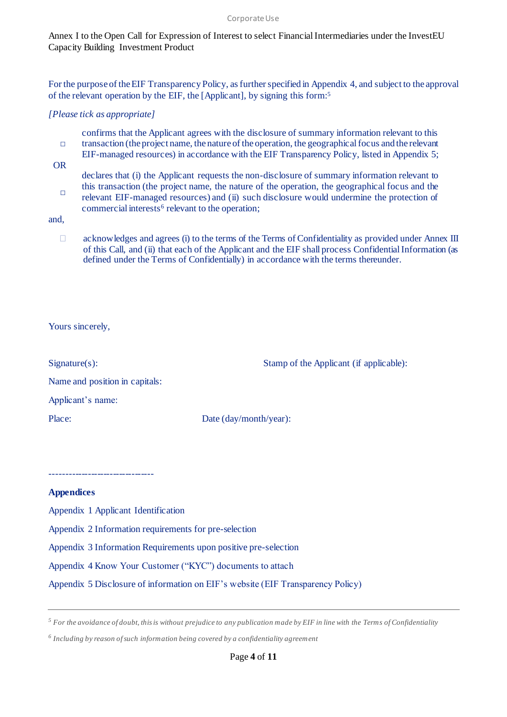#### Corporate Use

#### Annex I to the Open Call for Expression of Interest to select Financial Intermediaries under the InvestEU Capacity Building Investment Product

For the purpose of the EIF Transparency Policy, as further specified in Appendix 4, and subject to the approval of the relevant operation by the EIF, the [Applicant], by signing this form:<sup>5</sup>

#### *[Please tick as appropriate]*

- □ confirms that the Applicant agrees with the disclosure of summary information relevant to this transaction (the project name, the nature of the operation, the geographical focus and the relevant
- EIF-managed resources) in accordance with the EIF Transparency Policy, listed in Appendix 5;
- OR
- declares that (i) the Applicant requests the non-disclosure of summary information relevant to this transaction (the project name, the nature of the operation, the geographical focus and the
- □ relevant EIF-managed resources) and (ii) such disclosure would undermine the protection of commercial interests<sup>6</sup> relevant to the operation;

and,

 $\Box$  acknowledges and agrees (i) to the terms of the Terms of Confidentiality as provided under Annex III of this Call, and (ii) that each of the Applicant and the EIF shall process Confidential Information (as defined under the Terms of Confidentially) in accordance with the terms thereunder.

#### Yours sincerely,

| Signature(s):                  | Stamp of the Applicant (if applicable): |
|--------------------------------|-----------------------------------------|
| Name and position in capitals: |                                         |
| Applicant's name:              |                                         |
| Place:                         | Date $\frac{day}{month}$ /year):        |

## **Appendices**

[Appendix 1 Applicant](#page-4-0) Identification

---------------------------------

- Appendix 2 Information requirements for pre-selection
- Appendix 3 Information Requirements upon positive pre-selection
- Appendix 4 [Know Your Customer \("KYC"\) documents to attach](#page-7-0)

Appendix 5 Disclosure of information on EIF's website (EIF Transparency Policy)

*<sup>5</sup> For the avoidance of doubt, this is without prejudice to any publication made by EIF in line with the Terms of Confidentiality*

*<sup>6</sup> Including by reason of such information being covered by a confidentiality agreement*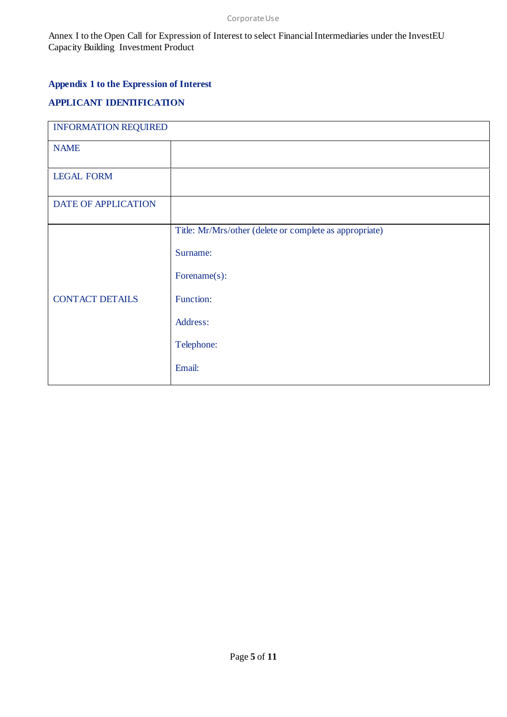## <span id="page-4-0"></span>**Appendix 1 to the Expression of Interest**

## **APPLICANT IDENTIFICATION**

| <b>INFORMATION REQUIRED</b> |                                                         |
|-----------------------------|---------------------------------------------------------|
| <b>NAME</b>                 |                                                         |
| <b>LEGAL FORM</b>           |                                                         |
| DATE OF APPLICATION         |                                                         |
| <b>CONTACT DETAILS</b>      | Title: Mr/Mrs/other (delete or complete as appropriate) |
|                             | Surname:                                                |
|                             | Forename(s):                                            |
|                             | Function:                                               |
|                             | Address:                                                |
|                             | Telephone:                                              |
|                             | Email:                                                  |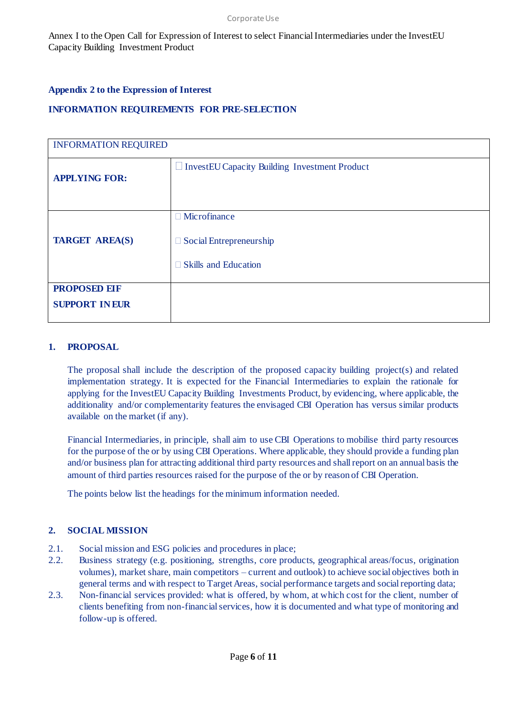#### **Appendix 2 to the Expression of Interest**

### **INFORMATION REQUIREMENTS FOR PRE-SELECTION**

| <b>INFORMATION REQUIRED</b>                  |                                                                                      |
|----------------------------------------------|--------------------------------------------------------------------------------------|
| <b>APPLYING FOR:</b>                         | $\Box$ InvestEU Capacity Building Investment Product                                 |
| <b>TARGET AREA(S)</b>                        | $\Box$ Microfinance<br>$\Box$ Social Entrepreneurship<br>$\Box$ Skills and Education |
| <b>PROPOSED EIF</b><br><b>SUPPORT IN EUR</b> |                                                                                      |

#### **1. PROPOSAL**

The proposal shall include the description of the proposed capacity building project(s) and related implementation strategy. It is expected for the Financial Intermediaries to explain the rationale for applying for the InvestEU Capacity Building Investments Product, by evidencing, where applicable, the additionality and/or complementarity features the envisaged CBI Operation has versus similar products available on the market (if any).

Financial Intermediaries, in principle, shall aim to use CBI Operations to mobilise third party resources for the purpose of the or by using CBI Operations. Where applicable, they should provide a funding plan and/or business plan for attracting additional third party resources and shall report on an annual basis the amount of third parties resources raised for the purpose of the or by reason of CBI Operation.

The points below list the headings for the minimum information needed.

#### **2. SOCIAL MISSION**

- 2.1. Social mission and ESG policies and procedures in place;
- 2.2. Business strategy (e.g. positioning, strengths, core products, geographical areas/focus, origination volumes), market share, main competitors – current and outlook) to achieve social objectives both in general terms and with respect to Target Areas, social performance targets and social reporting data;
- 2.3. Non-financial services provided: what is offered, by whom, at which cost for the client, number of clients benefiting from non-financial services, how it is documented and what type of monitoring and follow-up is offered.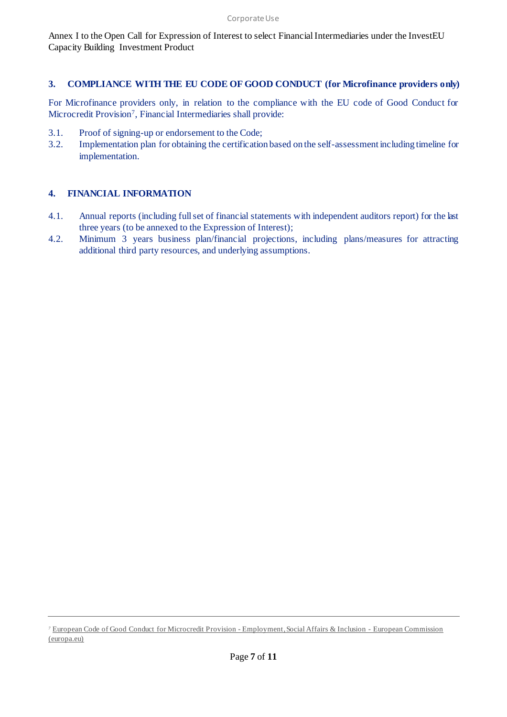#### **3. COMPLIANCE WITH THE EU CODE OF GOOD CONDUCT (for Microfinance providers only)**

For Microfinance providers only, in relation to the compliance with the EU code of Good Conduct for Microcredit Provision<sup>7</sup> , Financial Intermediaries shall provide:

- 3.1. Proof of signing-up or endorsement to the Code;
- 3.2. Implementation plan for obtaining the certification based on the self-assessment including timeline for implementation.

#### **4. FINANCIAL INFORMATION**

- 4.1. Annual reports (including full set of financial statements with independent auditors report) for the last three years (to be annexed to the Expression of Interest);
- 4.2. Minimum 3 years business plan/financial projections, including plans/measures for attracting additional third party resources, and underlying assumptions.

*<sup>7</sup>* European Code [of Good Conduct for Microcredit Provision -](https://ec.europa.eu/social/main.jsp?catId=1482&langId=en) Employment, Social Affairs & Inclusion - European Commission [\(europa.eu\)](https://ec.europa.eu/social/main.jsp?catId=1482&langId=en)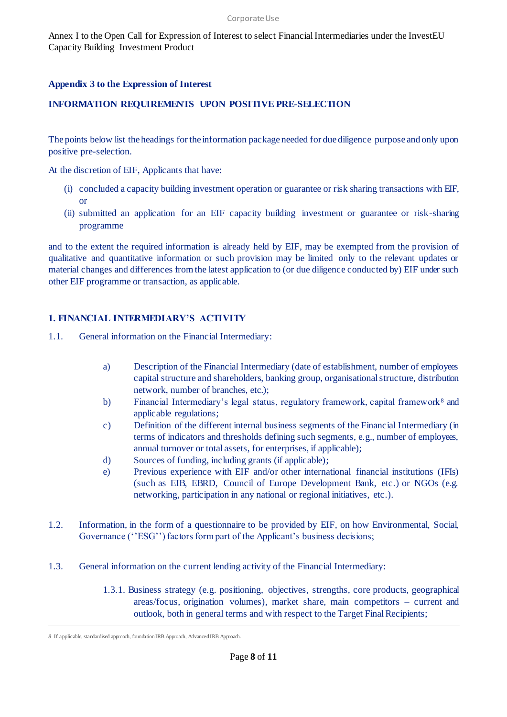#### <span id="page-7-0"></span>**Appendix 3 to the Expression of Interest**

#### **INFORMATION REQUIREMENTS UPON POSITIVE PRE-SELECTION**

The points below list the headings for the information package needed for due diligence purpose and only upon positive pre-selection.

At the discretion of EIF, Applicants that have:

- (i) concluded a capacity building investment operation or guarantee or risk sharing transactions with EIF, or
- (ii) submitted an application for an EIF capacity building investment or guarantee or risk-sharing programme

and to the extent the required information is already held by EIF, may be exempted from the provision of qualitative and quantitative information or such provision may be limited only to the relevant updates or material changes and differences from the latest application to (or due diligence conducted by) EIF under such other EIF programme or transaction, as applicable.

#### **1. FINANCIAL INTERMEDIARY'S ACTIVITY**

- 1.1. General information on the Financial Intermediary:
	- a) Description of the Financial Intermediary (date of establishment, number of employees capital structure and shareholders, banking group, organisational structure, distribution network, number of branches, etc.);
	- b) Financial Intermediary's legal status, regulatory framework, capital framework<sup>8</sup> and applicable regulations;
	- c) Definition of the different internal business segments of the Financial Intermediary (in terms of indicators and thresholds defining such segments, e.g., number of employees, annual turnover or total assets, for enterprises, if applicable);
	- d) Sources of funding, including grants (if applicable);
	- e) Previous experience with EIF and/or other international financial institutions (IFIs) (such as EIB, EBRD, Council of Europe Development Bank, etc.) or NGOs (e.g. networking, participation in any national or regional initiatives, etc.).
- 1.2. Information, in the form of a questionnaire to be provided by EIF, on how Environmental, Social, Governance ("ESG") factors form part of the Applicant's business decisions;
- 1.3. General information on the current lending activity of the Financial Intermediary:
	- 1.3.1. Business strategy (e.g. positioning, objectives, strengths, core products, geographical areas/focus, origination volumes), market share, main competitors – current and outlook, both in general terms and with respect to the Target Final Recipients;

*<sup>8</sup>* If applicable, standardised approach, foundation IRB Approach, Advanced IRB Approach.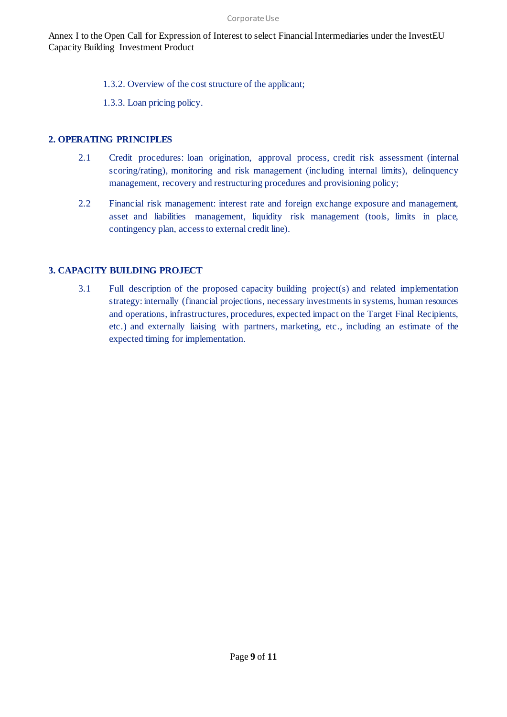1.3.2. Overview of the cost structure of the applicant;

1.3.3. Loan pricing policy.

#### **2. OPERATING PRINCIPLES**

- 2.1 Credit procedures: loan origination, approval process, credit risk assessment (internal scoring/rating), monitoring and risk management (including internal limits), delinquency management, recovery and restructuring procedures and provisioning policy;
- 2.2 Financial risk management: interest rate and foreign exchange exposure and management, asset and liabilities management, liquidity risk management (tools, limits in place, contingency plan, access to external credit line).

#### **3. CAPACITY BUILDING PROJECT**

3.1 Full description of the proposed capacity building project(s) and related implementation strategy: internally (financial projections, necessary investments in systems, human resources and operations, infrastructures, procedures, expected impact on the Target Final Recipients, etc.) and externally liaising with partners, marketing, etc., including an estimate of the expected timing for implementation.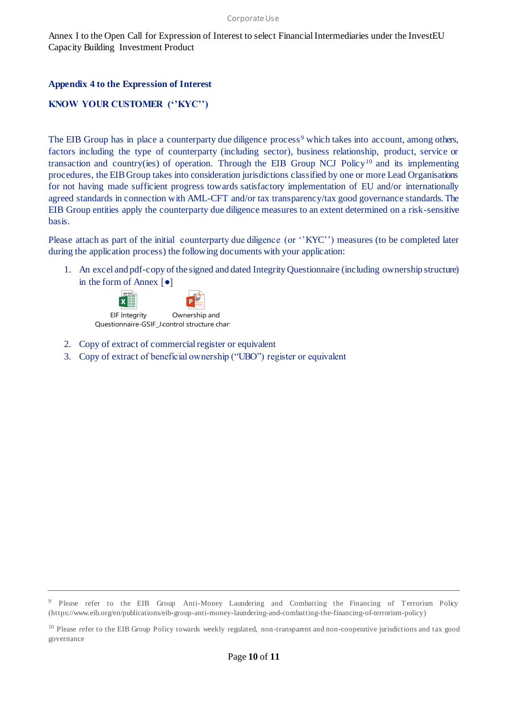#### **Appendix 4 to the Expression of Interest**

### **KNOW YOUR CUSTOMER (''KYC'')**

The EIB Group has in place a counterparty due diligence process<sup>9</sup> which takes into account, among others, factors including the type of counterparty (including sector), business relationship, product, service or transaction and country(ies) of operation. Through the EIB Group NCJ Policy<sup>10</sup> and its implementing procedures, the EIB Group takes into consideration jurisdictions classified by one or more Lead Organisations for not having made sufficient progress towards satisfactory implementation of EU and/or internationally agreed standards in connection with AML-CFT and/or tax transparency/tax good governance standards. The EIB Group entities apply the counterparty due diligence measures to an extent determined on a risk-sensitive basis.

Please attach as part of the initial counterparty due diligence (or "KYC") measures (to be completed later during the application process) the following documents with your application:

1. An excel and pdf-copy of the signed and dated Integrity Questionnaire (including ownership structure) in the form of Annex  $\lceil \bullet \rceil$ 



- 2. Copy of extract of commercial register or equivalent
- 3. Copy of extract of beneficial ownership ("UBO") register or equivalent

<sup>9</sup> Please refer to the EIB Group Anti-Money Laundering and Combatting the Financing of Terrorism Policy (https://www.eib.org/en/publications/eib-group-anti-money-laundering-and-combatting-the-financing-of-terrorism-policy)

<sup>&</sup>lt;sup>10</sup> Please refer to the EIB Group Policy towards weekly regulated, non-transparent and non-cooperative jurisdictions and tax good governance